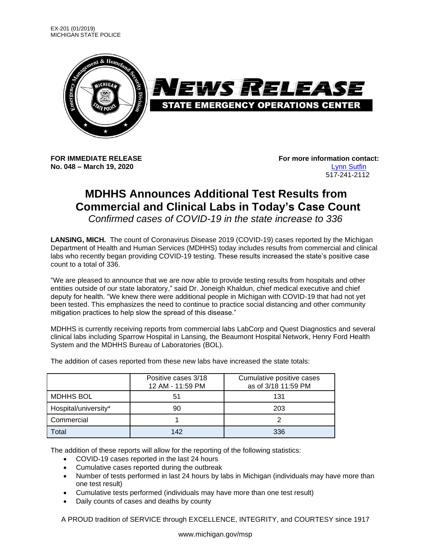

**No. 048 – March 19, 2020** [Lynn Sutfin](mailto:Sutfinl1@michigan.gov)

**FOR IMMEDIATE RELEASE For more information contact:** 517-241-2112

## **MDHHS Announces Additional Test Results from Commercial and Clinical Labs in Today's Case Count**

*Confirmed cases of COVID-19 in the state increase to 336*

**LANSING, MICH.** The count of Coronavirus Disease 2019 (COVID-19) cases reported by the Michigan Department of Health and Human Services (MDHHS) today includes results from commercial and clinical labs who recently began providing COVID-19 testing. These results increased the state's positive case count to a total of 336.

"We are pleased to announce that we are now able to provide testing results from hospitals and other entities outside of our state laboratory," said Dr. Joneigh Khaldun, chief medical executive and chief deputy for health. "We knew there were additional people in Michigan with COVID-19 that had not yet been tested. This emphasizes the need to continue to practice social distancing and other community mitigation practices to help slow the spread of this disease."

MDHHS is currently receiving reports from commercial labs LabCorp and Quest Diagnostics and several clinical labs including Sparrow Hospital in Lansing, the Beaumont Hospital Network, Henry Ford Health System and the MDHHS Bureau of Laboratories (BOL).

|                      | Positive cases 3/18<br>12 AM - 11:59 PM | Cumulative positive cases<br>as of 3/18 11:59 PM |
|----------------------|-----------------------------------------|--------------------------------------------------|
| MDHHS BOL            | 51                                      | 131                                              |
| Hospital/university* | 90                                      | 203                                              |
| Commercial           |                                         |                                                  |
| Total                | 142                                     | 336                                              |

The addition of cases reported from these new labs have increased the state totals:

The addition of these reports will allow for the reporting of the following statistics:

- COVID-19 cases reported in the last 24 hours
- Cumulative cases reported during the outbreak
- Number of tests performed in last 24 hours by labs in Michigan (individuals may have more than one test result)
- Cumulative tests performed (individuals may have more than one test result)
- Daily counts of cases and deaths by county

A PROUD tradition of SERVICE through EXCELLENCE, INTEGRITY, and COURTESY since 1917